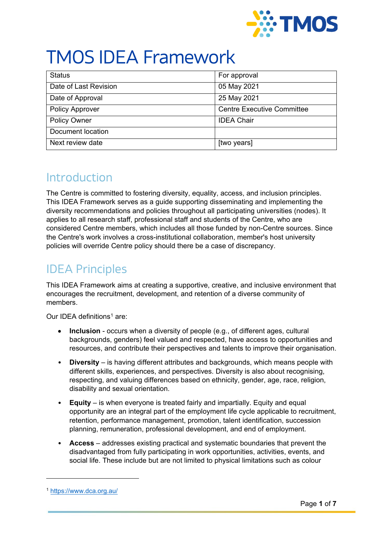

# TMOS IDEA Framework

| <b>Status</b>          | For approval                      |
|------------------------|-----------------------------------|
| Date of Last Revision  | 05 May 2021                       |
| Date of Approval       | 25 May 2021                       |
| <b>Policy Approver</b> | <b>Centre Executive Committee</b> |
| <b>Policy Owner</b>    | <b>IDEA Chair</b>                 |
| Document location      |                                   |
| Next review date       | [two years]                       |

### **Introduction**

The Centre is committed to fostering diversity, equality, access, and inclusion principles. This IDEA Framework serves as a guide supporting disseminating and implementing the diversity recommendations and policies throughout all participating universities (nodes). It applies to all research staff, professional staff and students of the Centre, who are considered Centre members, which includes all those funded by non-Centre sources. Since the Centre's work involves a cross-institutional collaboration, member's host university policies will override Centre policy should there be a case of discrepancy.

# IDEA Principles

This IDEA Framework aims at creating a supportive, creative, and inclusive environment that encourages the recruitment, development, and retention of a diverse community of members.

Our IDEA definitions[1](#page-0-0) are:

- **Inclusion** occurs when a diversity of people (e.g., of different ages, cultural backgrounds, genders) feel valued and respected, have access to opportunities and resources, and contribute their perspectives and talents to improve their organisation.
- **Diversity** is having different attributes and backgrounds, which means people with different skills, experiences, and perspectives. Diversity is also about recognising, respecting, and valuing differences based on ethnicity, gender, age, race, religion, disability and sexual orientation.
- **Equity** is when everyone is treated fairly and impartially. Equity and equal opportunity are an integral part of the employment life cycle applicable to recruitment, retention, performance management, promotion, talent identification, succession planning, remuneration, professional development, and end of employment.
- **Access** addresses existing practical and systematic boundaries that prevent the disadvantaged from fully participating in work opportunities, activities, events, and social life. These include but are not limited to physical limitations such as colour

<u>.</u>

<span id="page-0-0"></span><sup>1</sup> <https://www.dca.org.au/>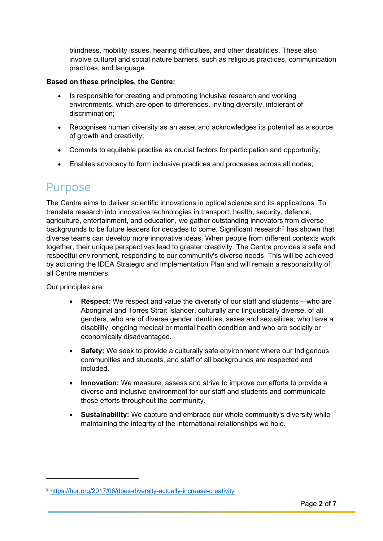blindness, mobility issues, hearing difficulties, and other disabilities. These also involve cultural and social nature barriers, such as religious practices, communication practices, and language.

#### **Based on these principles, the Centre:**

- Is responsible for creating and promoting inclusive research and working environments, which are open to differences, inviting diversity, intolerant of discrimination;
- Recognises human diversity as an asset and acknowledges its potential as a source of growth and creativity;
- Commits to equitable practise as crucial factors for participation and opportunity;
- Enables advocacy to form inclusive practices and processes across all nodes;

### Purpose

The Centre aims to deliver scientific innovations in optical science and its applications. To translate research into innovative technologies in transport, health, security, defence, agriculture, entertainment, and education, we gather outstanding innovators from diverse backgrounds to be future leaders for decades to come. Significant research<sup>[2](#page-1-0)</sup> has shown that diverse teams can develop more innovative ideas. When people from different contexts work together, their unique perspectives lead to greater creativity. The Centre provides a safe and respectful environment, responding to our community's diverse needs. This will be achieved by actioning the IDEA Strategic and Implementation Plan and will remain a responsibility of all Centre members.

Our principles are:

<u>.</u>

- **Respect:** We respect and value the diversity of our staff and students who are Aboriginal and Torres Strait Islander, culturally and linguistically diverse, of all genders, who are of diverse gender identities, sexes and sexualities, who have a disability, ongoing medical or mental health condition and who are socially or economically disadvantaged.
- **Safety:** We seek to provide a culturally safe environment where our Indigenous communities and students, and staff of all backgrounds are respected and included.
- **Innovation:** We measure, assess and strive to improve our efforts to provide a diverse and inclusive environment for our staff and students and communicate these efforts throughout the community.
- **Sustainability:** We capture and embrace our whole community's diversity while maintaining the integrity of the international relationships we hold.

<span id="page-1-0"></span><sup>2</sup> <https://hbr.org/2017/06/does-diversity-actually-increase-creativity>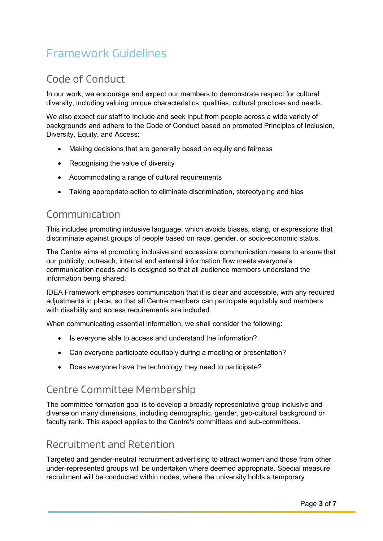# Framework Guidelines

### Code of Conduct

In our work, we encourage and expect our members to demonstrate respect for cultural diversity, including valuing unique characteristics, qualities, cultural practices and needs.

We also expect our staff to Include and seek input from people across a wide variety of backgrounds and adhere to the Code of Conduct based on promoted Principles of Inclusion, Diversity, Equity, and Access:

- Making decisions that are generally based on equity and fairness
- Recognising the value of diversity
- Accommodating a range of cultural requirements
- Taking appropriate action to eliminate discrimination, stereotyping and bias

### Communication

This includes promoting inclusive language, which avoids biases, slang, or expressions that discriminate against groups of people based on race, gender, or socio-economic status.

The Centre aims at promoting inclusive and accessible communication means to ensure that our publicity, outreach, internal and external information flow meets everyone's communication needs and is designed so that all audience members understand the information being shared.

IDEA Framework emphases communication that it is clear and accessible, with any required adjustments in place, so that all Centre members can participate equitably and members with disability and access requirements are included.

When communicating essential information, we shall consider the following:

- Is everyone able to access and understand the information?
- Can everyone participate equitably during a meeting or presentation?
- Does everyone have the technology they need to participate?

### Centre Committee Membership

The committee formation goal is to develop a broadly representative group inclusive and diverse on many dimensions, including demographic, gender, geo-cultural background or faculty rank. This aspect applies to the Centre's committees and sub-committees.

### Recruitment and Retention

Targeted and gender-neutral recruitment advertising to attract women and those from other under-represented groups will be undertaken where deemed appropriate. Special measure recruitment will be conducted within nodes, where the university holds a temporary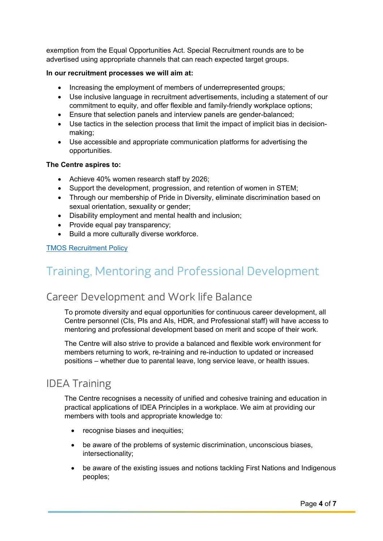exemption from the Equal Opportunities Act. Special Recruitment rounds are to be advertised using appropriate channels that can reach expected target groups.

#### **In our recruitment processes we will aim at:**

- Increasing the employment of members of underrepresented groups;
- Use inclusive language in recruitment advertisements, including a statement of our commitment to equity, and offer flexible and family-friendly workplace options;
- Ensure that selection panels and interview panels are gender-balanced;
- Use tactics in the selection process that limit the impact of implicit bias in decisionmaking;
- Use accessible and appropriate communication platforms for advertising the opportunities.

#### **The Centre aspires to:**

- Achieve 40% women research staff by 2026;
- Support the development, progression, and retention of women in STEM;
- Through our membership of Pride in Diversity, eliminate discrimination based on sexual orientation, sexuality or gender;
- Disability employment and mental health and inclusion;
- Provide equal pay transparency;
- Build a more culturally diverse workforce.

#### [TMOS Recruitment Policy](https://tmos.org.au/wp-content/uploads/2021/11/Recruitment-Policy-and-Proceedure-TMOS.pdf)

## Training, Mentoring and Professional Development

### Career Development and Work life Balance

To promote diversity and equal opportunities for continuous career development, all Centre personnel (CIs, PIs and AIs, HDR, and Professional staff) will have access to mentoring and professional development based on merit and scope of their work.

The Centre will also strive to provide a balanced and flexible work environment for members returning to work, re-training and re-induction to updated or increased positions – whether due to parental leave, long service leave, or health issues.

### IDEA Training

The Centre recognises a necessity of unified and cohesive training and education in practical applications of IDEA Principles in a workplace. We aim at providing our members with tools and appropriate knowledge to:

- recognise biases and inequities;
- be aware of the problems of systemic discrimination, unconscious biases, intersectionality;
- be aware of the existing issues and notions tackling First Nations and Indigenous peoples;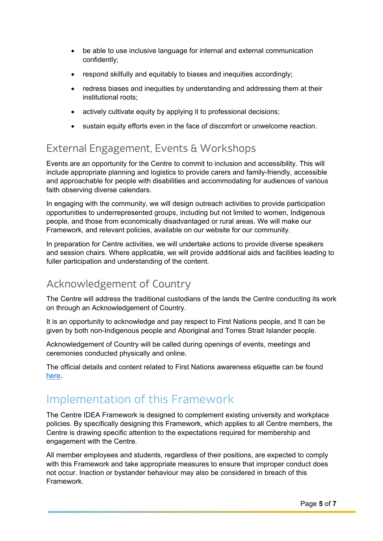- be able to use inclusive language for internal and external communication confidently;
- respond skilfully and equitably to biases and inequities accordingly;
- redress biases and inequities by understanding and addressing them at their institutional roots;
- actively cultivate equity by applying it to professional decisions;
- sustain equity efforts even in the face of discomfort or unwelcome reaction.

### External Engagement, Events & Workshops

Events are an opportunity for the Centre to commit to inclusion and accessibility. This will include appropriate planning and logistics to provide carers and family-friendly, accessible and approachable for people with disabilities and accommodating for audiences of various faith observing diverse calendars.

In engaging with the community, we will design outreach activities to provide participation opportunities to underrepresented groups, including but not limited to women, Indigenous people, and those from economically disadvantaged or rural areas. We will make our Framework, and relevant policies, available on our website for our community.

In preparation for Centre activities, we will undertake actions to provide diverse speakers and session chairs. Where applicable, we will provide additional aids and facilities leading to fuller participation and understanding of the content.

### Acknowledgement of Country

The Centre will address the traditional custodians of the lands the Centre conducting its work on through an Acknowledgement of Country.

It is an opportunity to acknowledge and pay respect to First Nations people, and It can be given by both non-Indigenous people and Aboriginal and Torres Strait Islander people.

Acknowledgement of Country will be called during openings of events, meetings and ceremonies conducted physically and online.

The official details and content related to First Nations awareness etiquette can be found [here.](https://www.indigenous.gov.au/contact-us/welcome_acknowledgement-country)

### Implementation of this Framework

The Centre IDEA Framework is designed to complement existing university and workplace policies. By specifically designing this Framework, which applies to all Centre members, the Centre is drawing specific attention to the expectations required for membership and engagement with the Centre.

All member employees and students, regardless of their positions, are expected to comply with this Framework and take appropriate measures to ensure that improper conduct does not occur. Inaction or bystander behaviour may also be considered in breach of this Framework.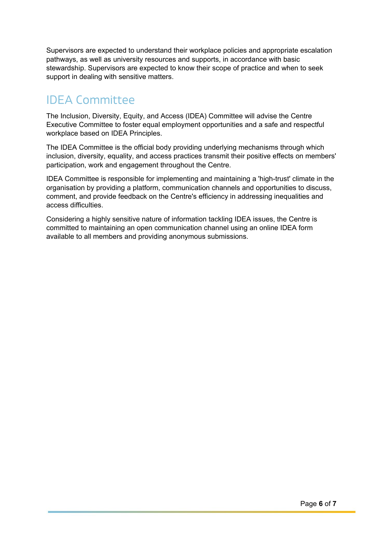Supervisors are expected to understand their workplace policies and appropriate escalation pathways, as well as university resources and supports, in accordance with basic stewardship. Supervisors are expected to know their scope of practice and when to seek support in dealing with sensitive matters.

# IDEA Committee

The Inclusion, Diversity, Equity, and Access (IDEA) Committee will advise the Centre Executive Committee to foster equal employment opportunities and a safe and respectful workplace based on IDEA Principles.

The IDEA Committee is the official body providing underlying mechanisms through which inclusion, diversity, equality, and access practices transmit their positive effects on members' participation, work and engagement throughout the Centre.

IDEA Committee is responsible for implementing and maintaining a 'high-trust' climate in the organisation by providing a platform, communication channels and opportunities to discuss, comment, and provide feedback on the Centre's efficiency in addressing inequalities and access difficulties.

Considering a highly sensitive nature of information tackling IDEA issues, the Centre is committed to maintaining an open communication channel using an online IDEA form available to all members and providing anonymous submissions.